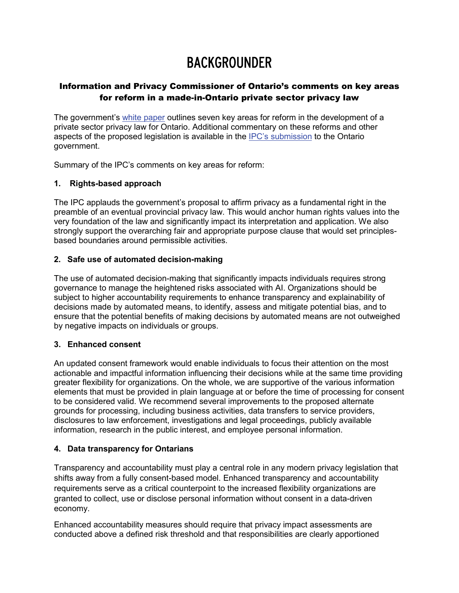# BACKGROUNDER

# Information and Privacy Commissioner of Ontario's comments on key areas for reform in a made-in-Ontario private sector privacy law

The government's [white paper](https://www.ontariocanada.com/registry/showAttachment.do?postingId=37468&attachmentId=49462) outlines seven key areas for reform in the development of a private sector privacy law for Ontario. Additional commentary on these reforms and other aspects of the proposed legislation is available in the [IPC's submission](https://www.ipc.on.ca/wp-content/uploads/2021/09/2021-09-03-ipc-comments-on-gov-white-paper_modernizing-privacy-in-ontario.pdf) to the Ontario government.

Summary of the IPC's comments on key areas for reform:

## **1. Rights-based approach**

The IPC applauds the government's proposal to affirm privacy as a fundamental right in the preamble of an eventual provincial privacy law. This would anchor human rights values into the very foundation of the law and significantly impact its interpretation and application. We also strongly support the overarching fair and appropriate purpose clause that would set principlesbased boundaries around permissible activities.

## **2. Safe use of automated decision-making**

The use of automated decision-making that significantly impacts individuals requires strong governance to manage the heightened risks associated with AI. Organizations should be subject to higher accountability requirements to enhance transparency and explainability of decisions made by automated means, to identify, assess and mitigate potential bias, and to ensure that the potential benefits of making decisions by automated means are not outweighed by negative impacts on individuals or groups.

## **3. Enhanced consent**

An updated consent framework would enable individuals to focus their attention on the most actionable and impactful information influencing their decisions while at the same time providing greater flexibility for organizations. On the whole, we are supportive of the various information elements that must be provided in plain language at or before the time of processing for consent to be considered valid. We recommend several improvements to the proposed alternate grounds for processing, including business activities, data transfers to service providers, disclosures to law enforcement, investigations and legal proceedings, publicly available information, research in the public interest, and employee personal information.

## **4. Data transparency for Ontarians**

Transparency and accountability must play a central role in any modern privacy legislation that shifts away from a fully consent-based model. Enhanced transparency and accountability requirements serve as a critical counterpoint to the increased flexibility organizations are granted to collect, use or disclose personal information without consent in a data-driven economy.

Enhanced accountability measures should require that privacy impact assessments are conducted above a defined risk threshold and that responsibilities are clearly apportioned